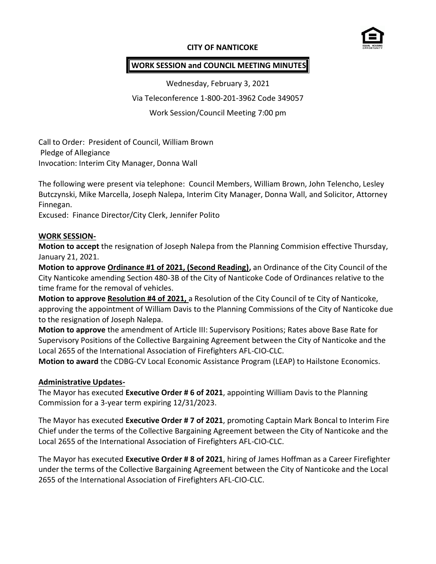## **CITY OF NANTICOKE**



## **WORK SESSION and COUNCIL MEETING MINUTES**

Wednesday, February 3, 2021

Via Teleconference 1-800-201-3962 Code 349057

Work Session/Council Meeting 7:00 pm

Call to Order: President of Council, William Brown Pledge of Allegiance Invocation: Interim City Manager, Donna Wall

The following were present via telephone: Council Members, William Brown, John Telencho, Lesley Butczynski, Mike Marcella, Joseph Nalepa, Interim City Manager, Donna Wall, and Solicitor, Attorney Finnegan.

Excused: Finance Director/City Clerk, Jennifer Polito

#### **WORK SESSION-**

**Motion to accept** the resignation of Joseph Nalepa from the Planning Commision effective Thursday, January 21, 2021.

**Motion to approve Ordinance #1 of 2021, (Second Reading),** an Ordinance of the City Council of the City Nanticoke amending Section 480-3B of the City of Nanticoke Code of Ordinances relative to the time frame for the removal of vehicles.

**Motion to approve Resolution #4 of 2021,** a Resolution of the City Council of te City of Nanticoke, approving the appointment of William Davis to the Planning Commissions of the City of Nanticoke due to the resignation of Joseph Nalepa.

**Motion to approve** the amendment of Article III: Supervisory Positions; Rates above Base Rate for Supervisory Positions of the Collective Bargaining Agreement between the City of Nanticoke and the Local 2655 of the International Association of Firefighters AFL-CIO-CLC.

**Motion to award** the CDBG-CV Local Economic Assistance Program (LEAP) to Hailstone Economics.

#### **Administrative Updates-**

The Mayor has executed **Executive Order # 6 of 2021**, appointing William Davis to the Planning Commission for a 3-year term expiring 12/31/2023.

The Mayor has executed **Executive Order # 7 of 2021**, promoting Captain Mark Boncal to Interim Fire Chief under the terms of the Collective Bargaining Agreement between the City of Nanticoke and the Local 2655 of the International Association of Firefighters AFL-CIO-CLC.

The Mayor has executed **Executive Order # 8 of 2021**, hiring of James Hoffman as a Career Firefighter under the terms of the Collective Bargaining Agreement between the City of Nanticoke and the Local 2655 of the International Association of Firefighters AFL-CIO-CLC.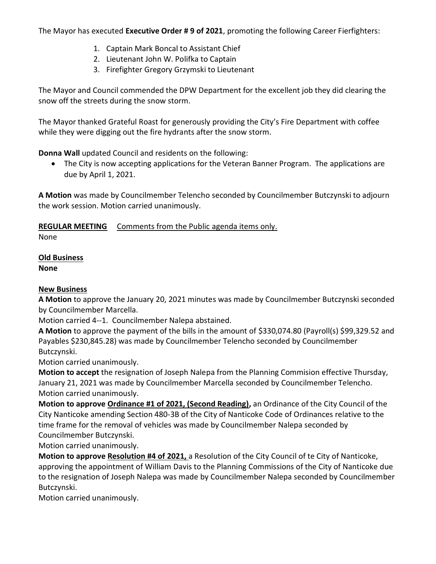The Mayor has executed **Executive Order # 9 of 2021**, promoting the following Career Fierfighters:

- 1. Captain Mark Boncal to Assistant Chief
- 2. Lieutenant John W. Polifka to Captain
- 3. Firefighter Gregory Grzymski to Lieutenant

The Mayor and Council commended the DPW Department for the excellent job they did clearing the snow off the streets during the snow storm.

The Mayor thanked Grateful Roast for generously providing the City's Fire Department with coffee while they were digging out the fire hydrants after the snow storm.

**Donna Wall** updated Council and residents on the following:

 The City is now accepting applications for the Veteran Banner Program. The applications are due by April 1, 2021.

**A Motion** was made by Councilmember Telencho seconded by Councilmember Butczynski to adjourn the work session. Motion carried unanimously.

## **REGULAR MEETING** Comments from the Public agenda items only.

None

# **Old Business**

**None**

## **New Business**

**A Motion** to approve the January 20, 2021 minutes was made by Councilmember Butczynski seconded by Councilmember Marcella.

Motion carried 4--1. Councilmember Nalepa abstained.

**A Motion** to approve the payment of the bills in the amount of \$330,074.80 (Payroll(s) \$99,329.52 and Payables \$230,845.28) was made by Councilmember Telencho seconded by Councilmember Butczynski.

Motion carried unanimously.

**Motion to accept** the resignation of Joseph Nalepa from the Planning Commision effective Thursday, January 21, 2021 was made by Councilmember Marcella seconded by Councilmember Telencho. Motion carried unanimously.

**Motion to approve Ordinance #1 of 2021, (Second Reading),** an Ordinance of the City Council of the City Nanticoke amending Section 480-3B of the City of Nanticoke Code of Ordinances relative to the time frame for the removal of vehicles was made by Councilmember Nalepa seconded by Councilmember Butczynski.

Motion carried unanimously.

**Motion to approve Resolution #4 of 2021,** a Resolution of the City Council of te City of Nanticoke, approving the appointment of William Davis to the Planning Commissions of the City of Nanticoke due to the resignation of Joseph Nalepa was made by Councilmember Nalepa seconded by Councilmember Butczynski.

Motion carried unanimously.